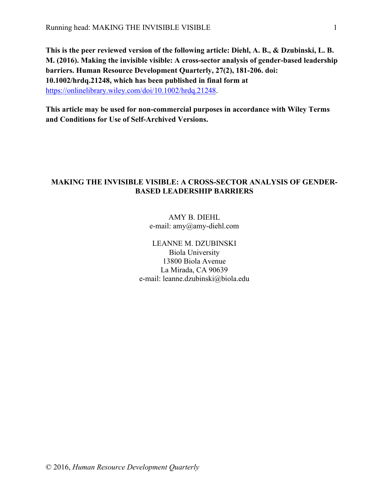**This is the peer reviewed version of the following article: Diehl, A. B., & Dzubinski, L. B. M. (2016). Making the invisible visible: A cross-sector analysis of gender-based leadership barriers. Human Resource Development Quarterly, 27(2), 181-206. doi: 10.1002/hrdq.21248, which has been published in final form at** [https://onlinelibrary.wiley.com/doi/10.1002/hrdq.21248.](https://onlinelibrary.wiley.com/doi/10.1002/hrdq.21248)

**This article may be used for non-commercial purposes in accordance with Wiley Terms and Conditions for Use of Self-Archived Versions.**

# **MAKING THE INVISIBLE VISIBLE: A CROSS-SECTOR ANALYSIS OF GENDER-BASED LEADERSHIP BARRIERS**

AMY B. DIEHL e-mail: amy@amy-diehl.com

LEANNE M. DZUBINSKI Biola University 13800 Biola Avenue La Mirada, CA 90639 e-mail: leanne.dzubinski@biola.edu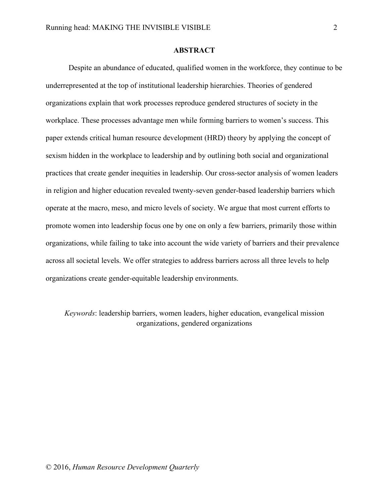#### **ABSTRACT**

Despite an abundance of educated, qualified women in the workforce, they continue to be underrepresented at the top of institutional leadership hierarchies. Theories of gendered organizations explain that work processes reproduce gendered structures of society in the workplace. These processes advantage men while forming barriers to women's success. This paper extends critical human resource development (HRD) theory by applying the concept of sexism hidden in the workplace to leadership and by outlining both social and organizational practices that create gender inequities in leadership. Our cross-sector analysis of women leaders in religion and higher education revealed twenty-seven gender-based leadership barriers which operate at the macro, meso, and micro levels of society. We argue that most current efforts to promote women into leadership focus one by one on only a few barriers, primarily those within organizations, while failing to take into account the wide variety of barriers and their prevalence across all societal levels. We offer strategies to address barriers across all three levels to help organizations create gender-equitable leadership environments.

*Keywords*: leadership barriers, women leaders, higher education, evangelical mission organizations, gendered organizations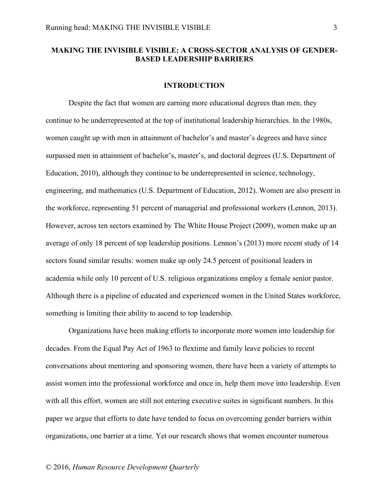# **MAKING THE INVISIBLE VISIBLE: A CROSS-SECTOR ANALYSIS OF GENDER-BASED LEADERSHIP BARRIERS**

## **INTRODUCTION**

Despite the fact that women are earning more educational degrees than men, they continue to be underrepresented at the top of institutional leadership hierarchies. In the 1980s, women caught up with men in attainment of bachelor's and master's degrees and have since surpassed men in attainment of bachelor's, master's, and doctoral degrees [\(U.S. Department of](#page-35-0)  [Education, 2010\)](#page-35-0), although they continue to be underrepresented in science, technology, engineering, and mathematics [\(U.S. Department of Education, 2012\)](#page-35-1). Women are also present in the workforce, representing 51 percent of managerial and professional workers [\(Lennon, 2013\)](#page-34-0). However, across ten sectors examined by [The White House Project \(2009\),](#page-35-2) women make up an average of only 18 percent of top leadership positions. Lennon's [\(2013\)](#page-34-0) more recent study of 14 sectors found similar results: women make up only 24.5 percent of positional leaders in academia while only 10 percent of U.S. religious organizations employ a female senior pastor. Although there is a pipeline of educated and experienced women in the United States workforce, something is limiting their ability to ascend to top leadership.

Organizations have been making efforts to incorporate more women into leadership for decades. From the Equal Pay Act of 1963 to flextime and family leave policies to recent conversations about mentoring and sponsoring women, there have been a variety of attempts to assist women into the professional workforce and once in, help them move into leadership. Even with all this effort, women are still not entering executive suites in significant numbers. In this paper we argue that efforts to date have tended to focus on overcoming gender barriers within organizations, one barrier at a time. Yet our research shows that women encounter numerous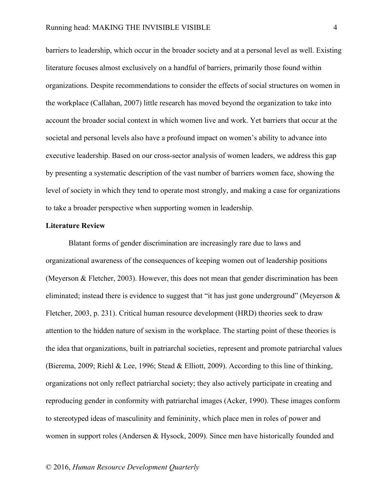barriers to leadership, which occur in the broader society and at a personal level as well. Existing literature focuses almost exclusively on a handful of barriers, primarily those found within organizations. Despite recommendations to consider the effects of social structures on women in the workplace [\(Callahan, 2007\)](#page-32-0) little research has moved beyond the organization to take into account the broader social context in which women live and work. Yet barriers that occur at the societal and personal levels also have a profound impact on women's ability to advance into executive leadership. Based on our cross-sector analysis of women leaders, we address this gap by presenting a systematic description of the vast number of barriers women face, showing the level of society in which they tend to operate most strongly, and making a case for organizations to take a broader perspective when supporting women in leadership.

#### **Literature Review**

Blatant forms of gender discrimination are increasingly rare due to laws and organizational awareness of the consequences of keeping women out of leadership positions [\(Meyerson & Fletcher, 2003\)](#page-34-1). However, this does not mean that gender discrimination has been eliminated; instead there is evidence to suggest that "it has just gone underground" [\(Meyerson &](#page-34-1)  [Fletcher, 2003, p. 231\)](#page-34-1). Critical human resource development (HRD) theories seek to draw attention to the hidden nature of sexism in the workplace. The starting point of these theories is the idea that organizations, built in patriarchal societies, represent and promote patriarchal values [\(Bierema, 2009;](#page-31-0) [Riehl & Lee, 1996;](#page-34-2) [Stead & Elliott, 2009\)](#page-35-3). According to this line of thinking, organizations not only reflect patriarchal society; they also actively participate in creating and reproducing gender in conformity with patriarchal images [\(Acker, 1990\)](#page-31-1). These images conform to stereotyped ideas of masculinity and femininity, which place men in roles of power and women in support roles [\(Andersen & Hysock, 2009\)](#page-31-2). Since men have historically founded and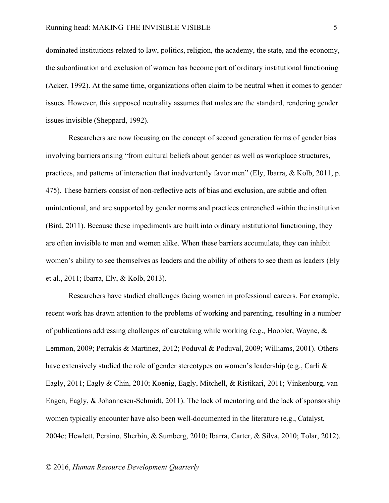dominated institutions related to law, politics, religion, the academy, the state, and the economy, the subordination and exclusion of women has become part of ordinary institutional functioning [\(Acker, 1992\)](#page-31-3). At the same time, organizations often claim to be neutral when it comes to gender issues. However, this supposed neutrality assumes that males are the standard, rendering gender issues invisible [\(Sheppard, 1992\)](#page-35-4).

Researchers are now focusing on the concept of second generation forms of gender bias involving barriers arising "from cultural beliefs about gender as well as workplace structures, practices, and patterns of interaction that inadvertently favor men" [\(Ely, Ibarra, & Kolb, 2011, p.](#page-33-0)  [475\)](#page-33-0). These barriers consist of non-reflective acts of bias and exclusion, are subtle and often unintentional, and are supported by gender norms and practices entrenched within the institution [\(Bird, 2011\)](#page-31-4). Because these impediments are built into ordinary institutional functioning, they are often invisible to men and women alike. When these barriers accumulate, they can inhibit women's ability to see themselves as leaders and the ability of others to see them as leaders [\(Ely](#page-33-0)  [et al., 2011;](#page-33-0) [Ibarra, Ely, & Kolb, 2013\)](#page-33-1).

Researchers have studied challenges facing women in professional careers. For example, recent work has drawn attention to the problems of working and parenting, resulting in a number of publications addressing challenges of caretaking while working (e.g., [Hoobler, Wayne, &](#page-33-2)  [Lemmon, 2009;](#page-33-2) [Perrakis & Martinez, 2012;](#page-34-3) [Poduval & Poduval, 2009;](#page-34-4) [Williams, 2001\)](#page-35-5). Others have extensively studied the role of gender stereotypes on women's leadership (e.g., Carli & [Eagly, 2011;](#page-32-1) [Eagly & Chin, 2010;](#page-33-3) [Koenig, Eagly, Mitchell, & Ristikari, 2011;](#page-34-5) [Vinkenburg, van](#page-35-6)  [Engen, Eagly, & Johannesen-Schmidt, 2011\)](#page-35-6). The lack of mentoring and the lack of sponsorship women typically encounter have also been well-documented in the literature (e.g., [Catalyst,](#page-32-2)  [2004c;](#page-32-2) [Hewlett, Peraino, Sherbin, & Sumberg, 2010;](#page-33-4) [Ibarra, Carter, & Silva, 2010;](#page-33-5) [Tolar, 2012\)](#page-35-7).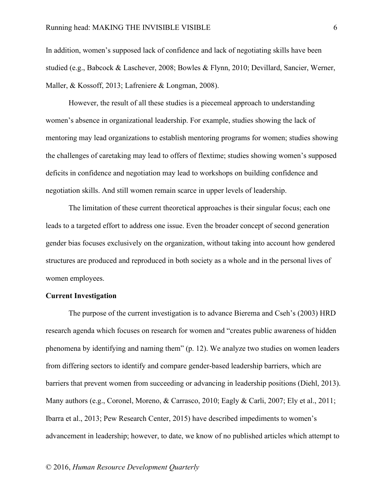In addition, women's supposed lack of confidence and lack of negotiating skills have been studied (e.g., [Babcock & Laschever, 2008;](#page-31-5) [Bowles & Flynn, 2010;](#page-31-6) [Devillard, Sancier, Werner,](#page-32-3)  [Maller, & Kossoff, 2013;](#page-32-3) [Lafreniere & Longman, 2008\)](#page-34-6).

However, the result of all these studies is a piecemeal approach to understanding women's absence in organizational leadership. For example, studies showing the lack of mentoring may lead organizations to establish mentoring programs for women; studies showing the challenges of caretaking may lead to offers of flextime; studies showing women's supposed deficits in confidence and negotiation may lead to workshops on building confidence and negotiation skills. And still women remain scarce in upper levels of leadership.

The limitation of these current theoretical approaches is their singular focus; each one leads to a targeted effort to address one issue. Even the broader concept of second generation gender bias focuses exclusively on the organization, without taking into account how gendered structures are produced and reproduced in both society as a whole and in the personal lives of women employees.

#### **Current Investigation**

The purpose of the current investigation is to advance Bierema and Cseh's [\(2003\)](#page-31-7) HRD research agenda which focuses on research for women and "creates public awareness of hidden phenomena by identifying and naming them" (p. 12). We analyze two studies on women leaders from differing sectors to identify and compare gender-based leadership barriers, which are barriers that prevent women from succeeding or advancing in leadership positions (Diehl, 2013). Many authors (e.g., [Coronel, Moreno, & Carrasco, 2010;](#page-32-4) [Eagly & Carli, 2007;](#page-33-6) [Ely et al., 2011;](#page-33-0) [Ibarra et al., 2013;](#page-33-1) [Pew Research Center, 2015\)](#page-34-7) have described impediments to women's advancement in leadership; however, to date, we know of no published articles which attempt to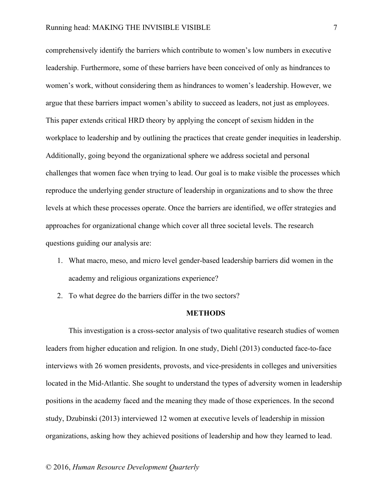comprehensively identify the barriers which contribute to women's low numbers in executive leadership. Furthermore, some of these barriers have been conceived of only as hindrances to women's work, without considering them as hindrances to women's leadership. However, we argue that these barriers impact women's ability to succeed as leaders, not just as employees. This paper extends critical HRD theory by applying the concept of sexism hidden in the workplace to leadership and by outlining the practices that create gender inequities in leadership. Additionally, going beyond the organizational sphere we address societal and personal challenges that women face when trying to lead. Our goal is to make visible the processes which reproduce the underlying gender structure of leadership in organizations and to show the three levels at which these processes operate. Once the barriers are identified, we offer strategies and approaches for organizational change which cover all three societal levels. The research questions guiding our analysis are:

- 1. What macro, meso, and micro level gender-based leadership barriers did women in the academy and religious organizations experience?
- 2. To what degree do the barriers differ in the two sectors?

#### **METHODS**

This investigation is a cross-sector analysis of two qualitative research studies of women leaders from higher education and religion. In one study, [Diehl \(2013\)](#page-32-5) conducted face-to-face interviews with 26 women presidents, provosts, and vice-presidents in colleges and universities located in the Mid-Atlantic. She sought to understand the types of adversity women in leadership positions in the academy faced and the meaning they made of those experiences. In the second study, [Dzubinski \(2013\)](#page-33-7) interviewed 12 women at executive levels of leadership in mission organizations, asking how they achieved positions of leadership and how they learned to lead.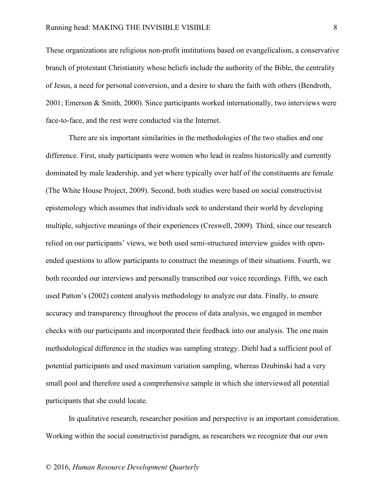These organizations are religious non-profit institutions based on evangelicalism, a conservative branch of protestant Christianity whose beliefs include the authority of the Bible, the centrality of Jesus, a need for personal conversion, and a desire to share the faith with others [\(Bendroth,](#page-31-8)  [2001;](#page-31-8) [Emerson & Smith, 2000\)](#page-33-8). Since participants worked internationally, two interviews were face-to-face, and the rest were conducted via the Internet.

There are six important similarities in the methodologies of the two studies and one difference. First, study participants were women who lead in realms historically and currently dominated by male leadership, and yet where typically over half of the constituents are female [\(The White House Project, 2009\)](#page-35-2). Second, both studies were based on social constructivist epistemology which assumes that individuals seek to understand their world by developing multiple, subjective meanings of their experiences [\(Creswell, 2009\)](#page-32-6). Third, since our research relied on our participants' views, we both used semi-structured interview guides with openended questions to allow participants to construct the meanings of their situations. Fourth, we both recorded our interviews and personally transcribed our voice recordings. Fifth, we each used Patton's [\(2002\)](#page-34-8) content analysis methodology to analyze our data. Finally, to ensure accuracy and transparency throughout the process of data analysis, we engaged in member checks with our participants and incorporated their feedback into our analysis. The one main methodological difference in the studies was sampling strategy. Diehl had a sufficient pool of potential participants and used maximum variation sampling, whereas Dzubinski had a very small pool and therefore used a comprehensive sample in which she interviewed all potential participants that she could locate.

In qualitative research, researcher position and perspective is an important consideration. Working within the social constructivist paradigm, as researchers we recognize that our own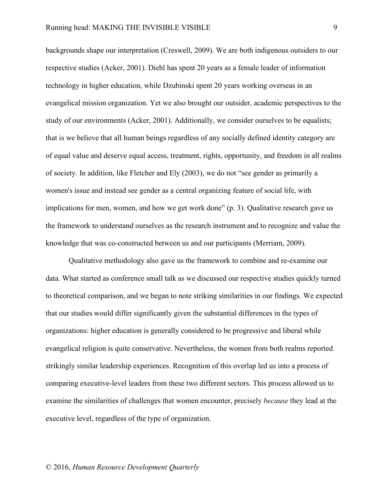backgrounds shape our interpretation [\(Creswell, 2009\)](#page-32-6). We are both indigenous outsiders to our respective studies [\(Acker, 2001\)](#page-31-9). Diehl has spent 20 years as a female leader of information technology in higher education, while Dzubinski spent 20 years working overseas in an evangelical mission organization. Yet we also brought our outsider, academic perspectives to the study of our environments (Acker, 2001). Additionally, we consider ourselves to be equalists; that is we believe that all human beings regardless of any socially defined identity category are of equal value and deserve equal access, treatment, rights, opportunity, and freedom in all realms of society. In addition, like [Fletcher and Ely \(2003\),](#page-33-9) we do not "see gender as primarily a women's issue and instead see gender as a central organizing feature of social life, with implications for men, women, and how we get work done" (p. 3). Qualitative research gave us the framework to understand ourselves as the research instrument and to recognize and value the knowledge that was co-constructed between us and our participants [\(Merriam, 2009\)](#page-34-9).

Qualitative methodology also gave us the framework to combine and re-examine our data. What started as conference small talk as we discussed our respective studies quickly turned to theoretical comparison, and we began to note striking similarities in our findings. We expected that our studies would differ significantly given the substantial differences in the types of organizations: higher education is generally considered to be progressive and liberal while evangelical religion is quite conservative. Nevertheless, the women from both realms reported strikingly similar leadership experiences. Recognition of this overlap led us into a process of comparing executive-level leaders from these two different sectors. This process allowed us to examine the similarities of challenges that women encounter, precisely *because* they lead at the executive level, regardless of the type of organization.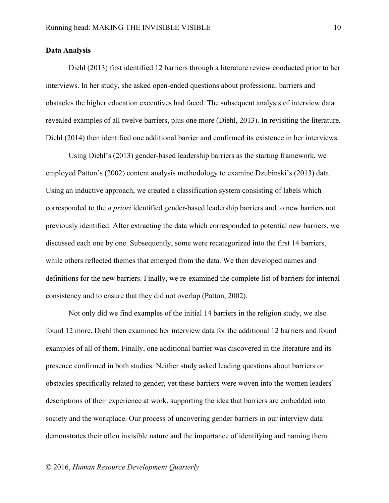#### **Data Analysis**

[Diehl \(2013\)](#page-32-5) first identified 12 barriers through a literature review conducted prior to her interviews. In her study, she asked open-ended questions about professional barriers and obstacles the higher education executives had faced. The subsequent analysis of interview data revealed examples of all twelve barriers, plus one more [\(Diehl, 2013\)](#page-32-5). In revisiting the literature, [Diehl \(2014\)](#page-32-7) then identified one additional barrier and confirmed its existence in her interviews.

Using Diehl's (2013) gender-based leadership barriers as the starting framework, we employed Patton's [\(2002\)](#page-34-8) content analysis methodology to examine Dzubinski's [\(2013\)](#page-33-7) data. Using an inductive approach, we created a classification system consisting of labels which corresponded to the *a priori* identified gender-based leadership barriers and to new barriers not previously identified. After extracting the data which corresponded to potential new barriers, we discussed each one by one. Subsequently, some were recategorized into the first 14 barriers, while others reflected themes that emerged from the data. We then developed names and definitions for the new barriers. Finally, we re-examined the complete list of barriers for internal consistency and to ensure that they did not overlap [\(Patton, 2002\)](#page-34-8).

Not only did we find examples of the initial 14 barriers in the religion study, we also found 12 more. Diehl then examined her interview data for the additional 12 barriers and found examples of all of them. Finally, one additional barrier was discovered in the literature and its presence confirmed in both studies. Neither study asked leading questions about barriers or obstacles specifically related to gender, yet these barriers were woven into the women leaders' descriptions of their experience at work, supporting the idea that barriers are embedded into society and the workplace. Our process of uncovering gender barriers in our interview data demonstrates their often invisible nature and the importance of identifying and naming them.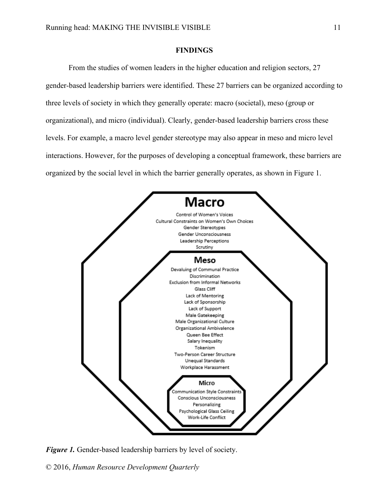#### **FINDINGS**

From the studies of women leaders in the higher education and religion sectors, 27 gender-based leadership barriers were identified. These 27 barriers can be organized according to three levels of society in which they generally operate: macro (societal), meso (group or organizational), and micro (individual). Clearly, gender-based leadership barriers cross these levels. For example, a macro level gender stereotype may also appear in meso and micro level interactions. However, for the purposes of developing a conceptual framework, these barriers are organized by the social level in which the barrier generally operates, as shown in Figure 1.



*Figure 1.* Gender-based leadership barriers by level of society.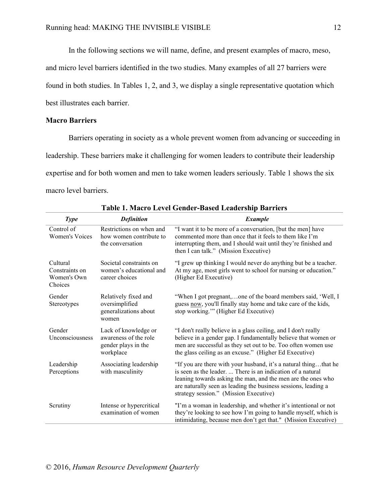In the following sections we will name, define, and present examples of macro, meso,

and micro level barriers identified in the two studies. Many examples of all 27 barriers were

found in both studies. In Tables 1, 2, and 3, we display a single representative quotation which

best illustrates each barrier.

# **Macro Barriers**

Barriers operating in society as a whole prevent women from advancing or succeeding in leadership. These barriers make it challenging for women leaders to contribute their leadership expertise and for both women and men to take women leaders seriously. Table 1 shows the six macro level barriers.

| <b>Type</b>                                          | <b>Definition</b>                                                                 | <b>Example</b>                                                                                                                                                                                                                                                                                              |
|------------------------------------------------------|-----------------------------------------------------------------------------------|-------------------------------------------------------------------------------------------------------------------------------------------------------------------------------------------------------------------------------------------------------------------------------------------------------------|
| Control of<br><b>Women's Voices</b>                  | Restrictions on when and<br>how women contribute to<br>the conversation           | "I want it to be more of a conversation, [but the men] have<br>commented more than once that it feels to them like I'm<br>interrupting them, and I should wait until they're finished and<br>then I can talk." (Mission Executive)                                                                          |
| Cultural<br>Constraints on<br>Women's Own<br>Choices | Societal constraints on<br>women's educational and<br>career choices              | "I grew up thinking I would never do anything but be a teacher.<br>At my age, most girls went to school for nursing or education."<br>(Higher Ed Executive)                                                                                                                                                 |
| Gender<br>Stereotypes                                | Relatively fixed and<br>oversimplified<br>generalizations about<br>women          | "When I got pregnant,one of the board members said, 'Well, I<br>guess now, you'll finally stay home and take care of the kids,<br>stop working."" (Higher Ed Executive)                                                                                                                                     |
| Gender<br>Unconsciousness                            | Lack of knowledge or<br>awareness of the role<br>gender plays in the<br>workplace | "I don't really believe in a glass ceiling, and I don't really<br>believe in a gender gap. I fundamentally believe that women or<br>men are successful as they set out to be. Too often women use<br>the glass ceiling as an excuse." (Higher Ed Executive)                                                 |
| Leadership<br>Perceptions                            | Associating leadership<br>with masculinity                                        | "If you are there with your husband, it's a natural thingthat he<br>is seen as the leader.  There is an indication of a natural<br>leaning towards asking the man, and the men are the ones who<br>are naturally seen as leading the business sessions, leading a<br>strategy session." (Mission Executive) |
| Scrutiny                                             | Intense or hypercritical<br>examination of women                                  | "I'm a woman in leadership, and whether it's intentional or not<br>they're looking to see how I'm going to handle myself, which is<br>intimidating, because men don't get that." (Mission Executive)                                                                                                        |

**Table 1. Macro Level Gender-Based Leadership Barriers**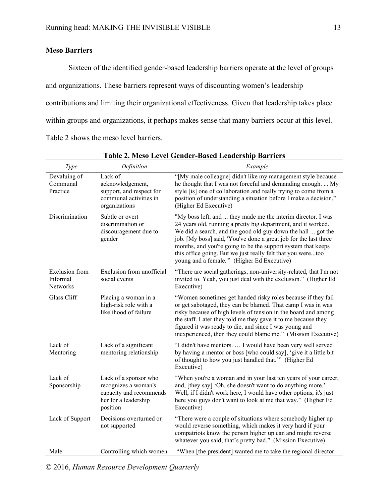# **Meso Barriers**

Sixteen of the identified gender-based leadership barriers operate at the level of groups and organizations. These barriers represent ways of discounting women's leadership contributions and limiting their organizational effectiveness. Given that leadership takes place within groups and organizations, it perhaps makes sense that many barriers occur at this level. Table 2 shows the meso level barriers.

| Type                                                 | Definition                                                                                                   | Example                                                                                                                                                                                                                                                                                                                                                                                                                                        |
|------------------------------------------------------|--------------------------------------------------------------------------------------------------------------|------------------------------------------------------------------------------------------------------------------------------------------------------------------------------------------------------------------------------------------------------------------------------------------------------------------------------------------------------------------------------------------------------------------------------------------------|
| Devaluing of<br>Communal<br>Practice                 | Lack of<br>acknowledgement,<br>support, and respect for<br>communal activities in<br>organizations           | "[My male colleague] didn't like my management style because<br>he thought that I was not forceful and demanding enough.  My<br>style [is] one of collaboration and really trying to come from a<br>position of understanding a situation before I make a decision."<br>(Higher Ed Executive)                                                                                                                                                  |
| Discrimination                                       | Subtle or overt<br>discrimination or<br>discouragement due to<br>gender                                      | "My boss left, and  they made me the interim director. I was<br>24 years old, running a pretty big department, and it worked.<br>We did a search, and the good old guy down the hall  got the<br>job. [My boss] said, 'You've done a great job for the last three<br>months, and you're going to be the support system that keeps<br>this office going. But we just really felt that you weretoo<br>young and a female." (Higher Ed Executive) |
| <b>Exclusion</b> from<br>Informal<br><b>Networks</b> | Exclusion from unofficial<br>social events                                                                   | "There are social gatherings, non-university-related, that I'm not<br>invited to. Yeah, you just deal with the exclusion." (Higher Ed<br>Executive)                                                                                                                                                                                                                                                                                            |
| <b>Glass Cliff</b>                                   | Placing a woman in a<br>high-risk role with a<br>likelihood of failure                                       | "Women sometimes get handed risky roles because if they fail<br>or get sabotaged, they can be blamed. That camp I was in was<br>risky because of high levels of tension in the board and among<br>the staff. Later they told me they gave it to me because they<br>figured it was ready to die, and since I was young and<br>inexperienced, then they could blame me." (Mission Executive)                                                     |
| Lack of<br>Mentoring                                 | Lack of a significant<br>mentoring relationship                                                              | "I didn't have mentors.  I would have been very well served<br>by having a mentor or boss [who could say], 'give it a little bit<br>of thought to how you just handled that."" (Higher Ed<br>Executive)                                                                                                                                                                                                                                        |
| Lack of<br>Sponsorship                               | Lack of a sponsor who<br>recognizes a woman's<br>capacity and recommends<br>her for a leadership<br>position | "When you're a woman and in your last ten years of your career,<br>and, [they say] 'Oh, she doesn't want to do anything more.'<br>Well, if I didn't work here, I would have other options, it's just<br>here you guys don't want to look at me that way." (Higher Ed<br>Executive)                                                                                                                                                             |
| Lack of Support                                      | Decisions overturned or<br>not supported                                                                     | "There were a couple of situations where somebody higher up<br>would reverse something, which makes it very hard if your<br>compatriots know the person higher up can and might reverse<br>whatever you said; that's pretty bad." (Mission Executive)                                                                                                                                                                                          |
| Male                                                 | Controlling which women                                                                                      | "When [the president] wanted me to take the regional director                                                                                                                                                                                                                                                                                                                                                                                  |

**Table 2. Meso Level Gender-Based Leadership Barriers**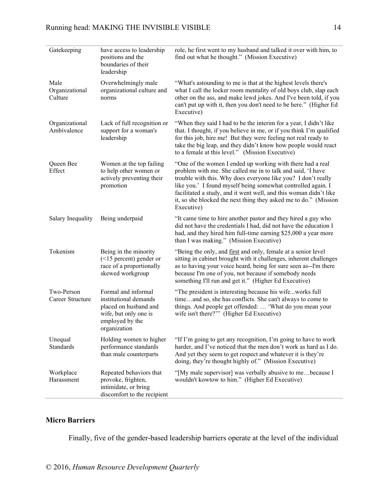| Gatekeeping                       | have access to leadership<br>positions and the<br>boundaries of their<br>leadership                                               | role, he first went to my husband and talked it over with him, to<br>find out what he thought." (Mission Executive)                                                                                                                                                                                                                                                                                               |
|-----------------------------------|-----------------------------------------------------------------------------------------------------------------------------------|-------------------------------------------------------------------------------------------------------------------------------------------------------------------------------------------------------------------------------------------------------------------------------------------------------------------------------------------------------------------------------------------------------------------|
| Male<br>Organizational<br>Culture | Overwhelmingly male<br>organizational culture and<br>norms                                                                        | "What's astounding to me is that at the highest levels there's<br>what I call the locker room mentality of old boys club, slap each<br>other on the ass, and make lewd jokes. And I've been told, if you<br>can't put up with it, then you don't need to be here." (Higher Ed<br>Executive)                                                                                                                       |
| Organizational<br>Ambivalence     | Lack of full recognition or<br>support for a woman's<br>leadership                                                                | "When they said I had to be the interim for a year, I didn't like<br>that. I thought, if you believe in me, or if you think I'm qualified<br>for this job, hire me! But they were feeling not real ready to<br>take the big leap, and they didn't know how people would react<br>to a female at this level." (Mission Executive)                                                                                  |
| Queen Bee<br>Effect               | Women at the top failing<br>to help other women or<br>actively preventing their<br>promotion                                      | "One of the women I ended up working with there had a real<br>problem with me. She called me in to talk and said, 'I have<br>trouble with this. Why does everyone like you? I don't really<br>like you.' I found myself being somewhat controlled again. I<br>facilitated a study, and it went well, and this woman didn't like<br>it, so she blocked the next thing they asked me to do." (Mission<br>Executive) |
| Salary Inequality                 | Being underpaid                                                                                                                   | "It came time to hire another pastor and they hired a guy who<br>did not have the credentials I had, did not have the education I<br>had, and they hired him full-time earning \$25,000 a year more<br>than I was making." (Mission Executive)                                                                                                                                                                    |
| Tokenism                          | Being in the minority<br>$(\leq 15$ percent) gender or<br>race of a proportionally<br>skewed workgroup                            | "Being the only, and first and only, female at a senior level<br>sitting in cabinet brought with it challenges, inherent challenges<br>as to having your voice heard, being for sure seen as--I'm there<br>because I'm one of you, not because if somebody needs<br>something I'll run and get it." (Higher Ed Executive)                                                                                         |
| Two-Person<br>Career Structure    | Formal and informal<br>institutional demands<br>placed on husband and<br>wife, but only one is<br>employed by the<br>organization | "The president is interesting because his wifeworks full<br>timeand so, she has conflicts. She can't always to come to<br>things. And people get offended:  'What do you mean your<br>wife isn't there?"" (Higher Ed Executive)                                                                                                                                                                                   |
| Unequal<br>Standards              | Holding women to higher<br>performance standards<br>than male counterparts                                                        | "If I'm going to get any recognition, I'm going to have to work<br>harder, and I've noticed that the men don't work as hard as I do.<br>And yet they seem to get respect and whatever it is they're<br>doing, they're thought highly of." (Mission Executive)                                                                                                                                                     |
| Workplace<br>Harassment           | Repeated behaviors that<br>provoke, frighten,<br>intimidate, or bring<br>discomfort to the recipient                              | "[My male supervisor] was verbally abusive to mebecause I<br>wouldn't kowtow to him." (Higher Ed Executive)                                                                                                                                                                                                                                                                                                       |

# Running head: MAKING THE INVISIBLE VISIBLE 14

# **Micro Barriers**

Finally, five of the gender-based leadership barriers operate at the level of the individual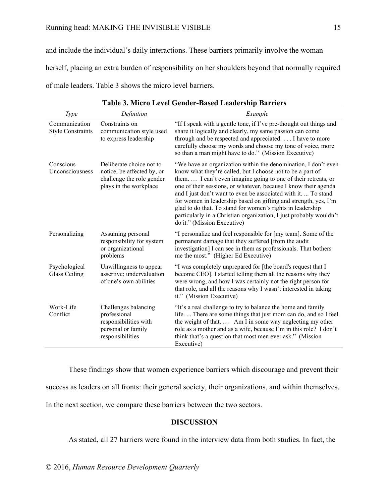and include the individual's daily interactions. These barriers primarily involve the woman herself, placing an extra burden of responsibility on her shoulders beyond that normally required of male leaders. Table 3 shows the micro level barriers.

| Type                                      | Definition                                                                                                    | Example                                                                                                                                                                                                                                                                                                                                                                                                                                                                                                                                                                   |
|-------------------------------------------|---------------------------------------------------------------------------------------------------------------|---------------------------------------------------------------------------------------------------------------------------------------------------------------------------------------------------------------------------------------------------------------------------------------------------------------------------------------------------------------------------------------------------------------------------------------------------------------------------------------------------------------------------------------------------------------------------|
| Communication<br><b>Style Constraints</b> | Constraints on<br>communication style used<br>to express leadership                                           | "If I speak with a gentle tone, if I've pre-thought out things and<br>share it logically and clearly, my same passion can come<br>through and be respected and appreciated. I have to more<br>carefully choose my words and choose my tone of voice, more<br>so than a man might have to do." (Mission Executive)                                                                                                                                                                                                                                                         |
| Conscious<br>Unconsciousness              | Deliberate choice not to<br>notice, be affected by, or<br>challenge the role gender<br>plays in the workplace | "We have an organization within the denomination, I don't even<br>know what they're called, but I choose not to be a part of<br>them.  I can't even imagine going to one of their retreats, or<br>one of their sessions, or whatever, because I know their agenda<br>and I just don't want to even be associated with it.  To stand<br>for women in leadership based on gifting and strength, yes, I'm<br>glad to do that. To stand for women's rights in leadership<br>particularly in a Christian organization, I just probably wouldn't<br>do it." (Mission Executive) |
| Personalizing                             | Assuming personal<br>responsibility for system<br>or organizational<br>problems                               | "I personalize and feel responsible for [my team]. Some of the<br>permanent damage that they suffered [from the audit<br>investigation] I can see in them as professionals. That bothers<br>me the most." (Higher Ed Executive)                                                                                                                                                                                                                                                                                                                                           |
| Psychological<br>Glass Ceiling            | Unwillingness to appear<br>assertive; undervaluation<br>of one's own abilities                                | "I was completely unprepared for [the board's request that I<br>become CEO]. I started telling them all the reasons why they<br>were wrong, and how I was certainly not the right person for<br>that role, and all the reasons why I wasn't interested in taking<br>it." (Mission Executive)                                                                                                                                                                                                                                                                              |
| Work-Life<br>Conflict                     | Challenges balancing<br>professional<br>responsibilities with<br>personal or family<br>responsibilities       | "It's a real challenge to try to balance the home and family<br>life.  There are some things that just mom can do, and so I feel<br>the weight of that.  Am I in some way neglecting my other<br>role as a mother and as a wife, because I'm in this role? I don't<br>think that's a question that most men ever ask." (Mission<br>Executive)                                                                                                                                                                                                                             |

|  |  |  |  |  |  |  | Table 3. Micro Level Gender-Based Leadership Barriers |
|--|--|--|--|--|--|--|-------------------------------------------------------|
|--|--|--|--|--|--|--|-------------------------------------------------------|

These findings show that women experience barriers which discourage and prevent their success as leaders on all fronts: their general society, their organizations, and within themselves. In the next section, we compare these barriers between the two sectors.

#### **DISCUSSION**

As stated, all 27 barriers were found in the interview data from both studies. In fact, the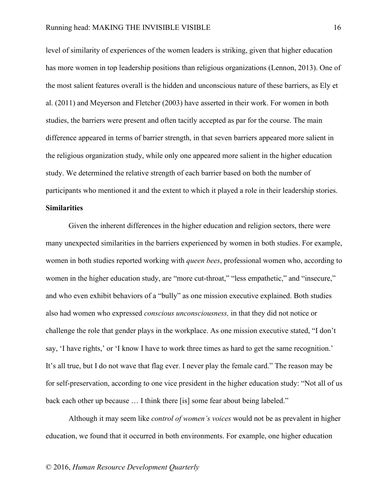level of similarity of experiences of the women leaders is striking, given that higher education has more women in top leadership positions than religious organizations [\(Lennon, 2013\)](#page-34-0). One of the most salient features overall is the hidden and unconscious nature of these barriers, as [Ely et](#page-33-0)  al. (2011) and [Meyerson and Fletcher \(2003\)](#page-34-1) have asserted in their work. For women in both studies, the barriers were present and often tacitly accepted as par for the course. The main difference appeared in terms of barrier strength, in that seven barriers appeared more salient in the religious organization study, while only one appeared more salient in the higher education study. We determined the relative strength of each barrier based on both the number of participants who mentioned it and the extent to which it played a role in their leadership stories.

# **Similarities**

Given the inherent differences in the higher education and religion sectors, there were many unexpected similarities in the barriers experienced by women in both studies. For example, women in both studies reported working with *queen bees*, professional women who, according to women in the higher education study, are "more cut-throat," "less empathetic," and "insecure," and who even exhibit behaviors of a "bully" as one mission executive explained. Both studies also had women who expressed *conscious unconsciousness,* in that they did not notice or challenge the role that gender plays in the workplace. As one mission executive stated, "I don't say, 'I have rights,' or 'I know I have to work three times as hard to get the same recognition.' It's all true, but I do not wave that flag ever. I never play the female card." The reason may be for self-preservation, according to one vice president in the higher education study: "Not all of us back each other up because … I think there [is] some fear about being labeled."

Although it may seem like *control of women's voices* would not be as prevalent in higher education, we found that it occurred in both environments. For example, one higher education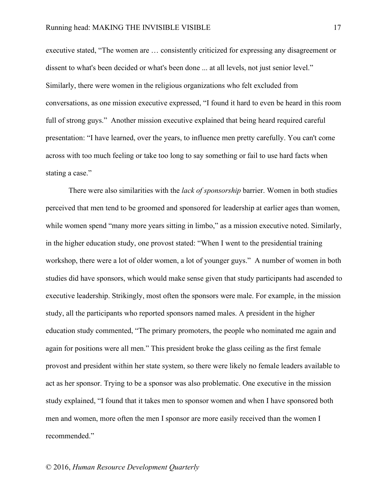executive stated, "The women are … consistently criticized for expressing any disagreement or dissent to what's been decided or what's been done ... at all levels, not just senior level." Similarly, there were women in the religious organizations who felt excluded from conversations, as one mission executive expressed, "I found it hard to even be heard in this room full of strong guys." Another mission executive explained that being heard required careful presentation: "I have learned, over the years, to influence men pretty carefully. You can't come across with too much feeling or take too long to say something or fail to use hard facts when stating a case."

There were also similarities with the *lack of sponsorship* barrier. Women in both studies perceived that men tend to be groomed and sponsored for leadership at earlier ages than women, while women spend "many more years sitting in limbo," as a mission executive noted. Similarly, in the higher education study, one provost stated: "When I went to the presidential training workshop, there were a lot of older women, a lot of younger guys." A number of women in both studies did have sponsors, which would make sense given that study participants had ascended to executive leadership. Strikingly, most often the sponsors were male. For example, in the mission study, all the participants who reported sponsors named males. A president in the higher education study commented, "The primary promoters, the people who nominated me again and again for positions were all men." This president broke the glass ceiling as the first female provost and president within her state system, so there were likely no female leaders available to act as her sponsor. Trying to be a sponsor was also problematic. One executive in the mission study explained, "I found that it takes men to sponsor women and when I have sponsored both men and women, more often the men I sponsor are more easily received than the women I recommended."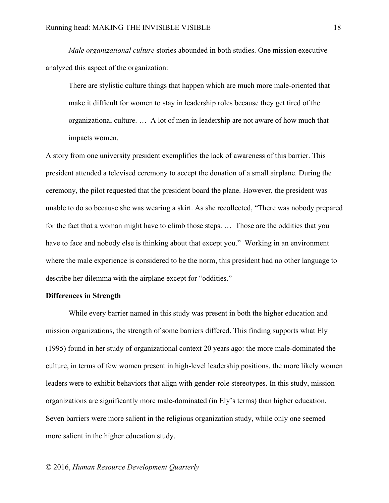*Male organizational culture* stories abounded in both studies. One mission executive analyzed this aspect of the organization:

There are stylistic culture things that happen which are much more male-oriented that make it difficult for women to stay in leadership roles because they get tired of the organizational culture. … A lot of men in leadership are not aware of how much that impacts women.

A story from one university president exemplifies the lack of awareness of this barrier. This president attended a televised ceremony to accept the donation of a small airplane. During the ceremony, the pilot requested that the president board the plane. However, the president was unable to do so because she was wearing a skirt. As she recollected, "There was nobody prepared for the fact that a woman might have to climb those steps. … Those are the oddities that you have to face and nobody else is thinking about that except you." Working in an environment where the male experience is considered to be the norm, this president had no other language to describe her dilemma with the airplane except for "oddities."

#### **Differences in Strength**

While every barrier named in this study was present in both the higher education and mission organizations, the strength of some barriers differed. This finding supports what [Ely](#page-33-10)  (1995) found in her study of organizational context 20 years ago: the more male-dominated the culture, in terms of few women present in high-level leadership positions, the more likely women leaders were to exhibit behaviors that align with gender-role stereotypes. In this study, mission organizations are significantly more male-dominated (in Ely's terms) than higher education. Seven barriers were more salient in the religious organization study, while only one seemed more salient in the higher education study.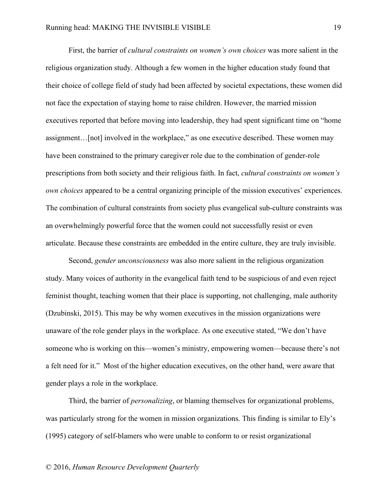First, the barrier of *cultural constraints on women's own choices* was more salient in the religious organization study. Although a few women in the higher education study found that their choice of college field of study had been affected by societal expectations, these women did not face the expectation of staying home to raise children. However, the married mission executives reported that before moving into leadership, they had spent significant time on "home assignment…[not] involved in the workplace," as one executive described. These women may have been constrained to the primary caregiver role due to the combination of gender-role prescriptions from both society and their religious faith. In fact, *cultural constraints on women's own choices* appeared to be a central organizing principle of the mission executives' experiences. The combination of cultural constraints from society plus evangelical sub-culture constraints was an overwhelmingly powerful force that the women could not successfully resist or even articulate. Because these constraints are embedded in the entire culture, they are truly invisible.

Second, *gender unconsciousness* was also more salient in the religious organization study. Many voices of authority in the evangelical faith tend to be suspicious of and even reject feminist thought, teaching women that their place is supporting, not challenging, male authority [\(Dzubinski, 2015\)](#page-33-11). This may be why women executives in the mission organizations were unaware of the role gender plays in the workplace. As one executive stated, "We don't have someone who is working on this—women's ministry, empowering women—because there's not a felt need for it." Most of the higher education executives, on the other hand, were aware that gender plays a role in the workplace.

Third, the barrier of *personalizing*, or blaming themselves for organizational problems, was particularly strong for the women in mission organizations. This finding is similar to Ely's [\(1995\)](#page-33-10) category of self-blamers who were unable to conform to or resist organizational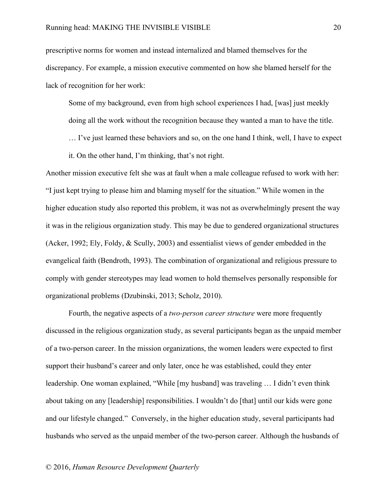prescriptive norms for women and instead internalized and blamed themselves for the discrepancy. For example, a mission executive commented on how she blamed herself for the lack of recognition for her work:

Some of my background, even from high school experiences I had, [was] just meekly

doing all the work without the recognition because they wanted a man to have the title.

… I've just learned these behaviors and so, on the one hand I think, well, I have to expect

it. On the other hand, I'm thinking, that's not right.

Another mission executive felt she was at fault when a male colleague refused to work with her: "I just kept trying to please him and blaming myself for the situation." While women in the higher education study also reported this problem, it was not as overwhelmingly present the way it was in the religious organization study. This may be due to gendered organizational structures [\(Acker, 1992;](#page-31-3) [Ely, Foldy, & Scully, 2003\)](#page-33-12) and essentialist views of gender embedded in the evangelical faith [\(Bendroth, 1993\)](#page-31-10). The combination of organizational and religious pressure to comply with gender stereotypes may lead women to hold themselves personally responsible for organizational problems [\(Dzubinski, 2013;](#page-33-7) [Scholz, 2010\)](#page-35-8).

Fourth, the negative aspects of a *two-person career structure* were more frequently discussed in the religious organization study, as several participants began as the unpaid member of a two-person career. In the mission organizations, the women leaders were expected to first support their husband's career and only later, once he was established, could they enter leadership. One woman explained, "While [my husband] was traveling … I didn't even think about taking on any [leadership] responsibilities. I wouldn't do [that] until our kids were gone and our lifestyle changed." Conversely, in the higher education study, several participants had husbands who served as the unpaid member of the two-person career. Although the husbands of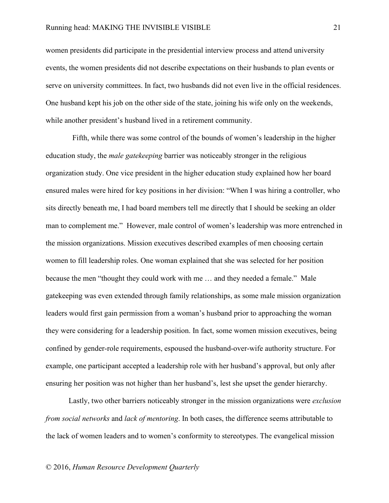women presidents did participate in the presidential interview process and attend university events, the women presidents did not describe expectations on their husbands to plan events or serve on university committees. In fact, two husbands did not even live in the official residences. One husband kept his job on the other side of the state, joining his wife only on the weekends, while another president's husband lived in a retirement community.

Fifth, while there was some control of the bounds of women's leadership in the higher education study, the *male gatekeeping* barrier was noticeably stronger in the religious organization study. One vice president in the higher education study explained how her board ensured males were hired for key positions in her division: "When I was hiring a controller, who sits directly beneath me, I had board members tell me directly that I should be seeking an older man to complement me." However, male control of women's leadership was more entrenched in the mission organizations. Mission executives described examples of men choosing certain women to fill leadership roles. One woman explained that she was selected for her position because the men "thought they could work with me … and they needed a female." Male gatekeeping was even extended through family relationships, as some male mission organization leaders would first gain permission from a woman's husband prior to approaching the woman they were considering for a leadership position. In fact, some women mission executives, being confined by gender-role requirements, espoused the husband-over-wife authority structure. For example, one participant accepted a leadership role with her husband's approval, but only after ensuring her position was not higher than her husband's, lest she upset the gender hierarchy.

Lastly, two other barriers noticeably stronger in the mission organizations were *exclusion from social networks* and *lack of mentoring*. In both cases, the difference seems attributable to the lack of women leaders and to women's conformity to stereotypes. The evangelical mission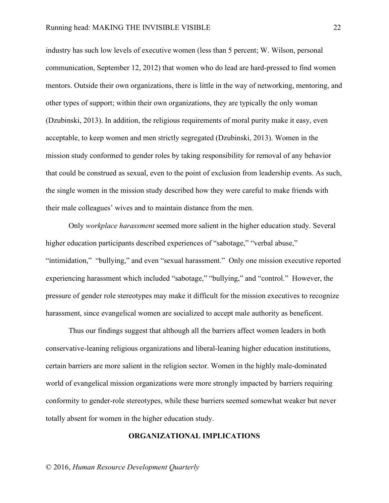industry has such low levels of executive women (less than 5 percent; W. Wilson, personal communication, September 12, 2012) that women who do lead are hard-pressed to find women mentors. Outside their own organizations, there is little in the way of networking, mentoring, and other types of support; within their own organizations, they are typically the only woman (Dzubinski, 2013). In addition, the religious requirements of moral purity make it easy, even acceptable, to keep women and men strictly segregated [\(Dzubinski, 2013\)](#page-33-7). Women in the mission study conformed to gender roles by taking responsibility for removal of any behavior that could be construed as sexual, even to the point of exclusion from leadership events. As such, the single women in the mission study described how they were careful to make friends with their male colleagues' wives and to maintain distance from the men.

Only *workplace harassment* seemed more salient in the higher education study. Several higher education participants described experiences of "sabotage," "verbal abuse," "intimidation," "bullying," and even "sexual harassment." Only one mission executive reported experiencing harassment which included "sabotage," "bullying," and "control." However, the pressure of gender role stereotypes may make it difficult for the mission executives to recognize harassment, since evangelical women are socialized to accept male authority as beneficent.

Thus our findings suggest that although all the barriers affect women leaders in both conservative-leaning religious organizations and liberal-leaning higher education institutions, certain barriers are more salient in the religion sector. Women in the highly male-dominated world of evangelical mission organizations were more strongly impacted by barriers requiring conformity to gender-role stereotypes, while these barriers seemed somewhat weaker but never totally absent for women in the higher education study.

#### **ORGANIZATIONAL IMPLICATIONS**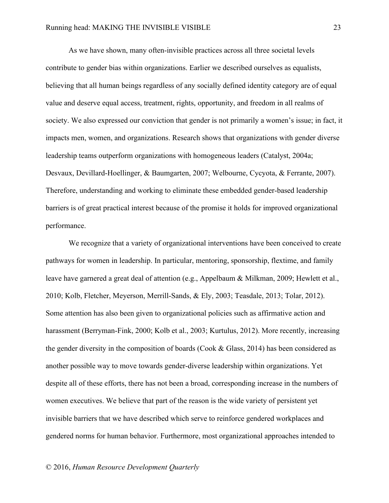As we have shown, many often-invisible practices across all three societal levels contribute to gender bias within organizations. Earlier we described ourselves as equalists, believing that all human beings regardless of any socially defined identity category are of equal value and deserve equal access, treatment, rights, opportunity, and freedom in all realms of society. We also expressed our conviction that gender is not primarily a women's issue; in fact, it impacts men, women, and organizations. Research shows that organizations with gender diverse leadership teams outperform organizations with homogeneous leaders [\(Catalyst, 2004a;](#page-32-8) [Desvaux, Devillard-Hoellinger, & Baumgarten, 2007;](#page-32-9) [Welbourne, Cycyota, & Ferrante, 2007\)](#page-35-9). Therefore, understanding and working to eliminate these embedded gender-based leadership barriers is of great practical interest because of the promise it holds for improved organizational performance.

We recognize that a variety of organizational interventions have been conceived to create pathways for women in leadership. In particular, mentoring, sponsorship, flextime, and family leave have garnered a great deal of attention (e.g., [Appelbaum & Milkman, 2009;](#page-31-11) [Hewlett et al.,](#page-33-4)  [2010;](#page-33-4) [Kolb, Fletcher, Meyerson, Merrill-Sands, & Ely, 2003;](#page-34-10) [Teasdale, 2013;](#page-35-10) [Tolar, 2012\)](#page-35-7). Some attention has also been given to organizational policies such as affirmative action and harassment [\(Berryman-Fink, 2000;](#page-31-12) [Kolb et al., 2003;](#page-34-10) [Kurtulus, 2012\)](#page-34-11). More recently, increasing the gender diversity in the composition of boards [\(Cook & Glass, 2014\)](#page-32-10) has been considered as another possible way to move towards gender-diverse leadership within organizations. Yet despite all of these efforts, there has not been a broad, corresponding increase in the numbers of women executives. We believe that part of the reason is the wide variety of persistent yet invisible barriers that we have described which serve to reinforce gendered workplaces and gendered norms for human behavior. Furthermore, most organizational approaches intended to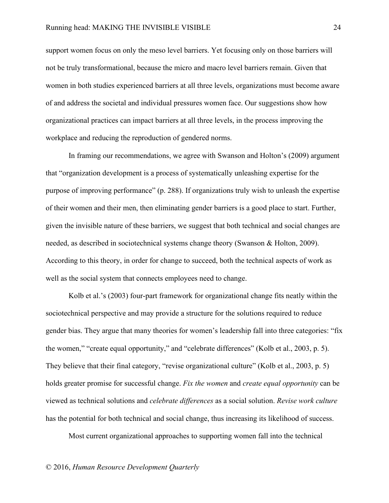support women focus on only the meso level barriers. Yet focusing only on those barriers will not be truly transformational, because the micro and macro level barriers remain. Given that women in both studies experienced barriers at all three levels, organizations must become aware of and address the societal and individual pressures women face. Our suggestions show how organizational practices can impact barriers at all three levels, in the process improving the workplace and reducing the reproduction of gendered norms.

In framing our recommendations, we agree with Swanson and Holton's [\(2009\)](#page-35-11) argument that "organization development is a process of systematically unleashing expertise for the purpose of improving performance" (p. 288). If organizations truly wish to unleash the expertise of their women and their men, then eliminating gender barriers is a good place to start. Further, given the invisible nature of these barriers, we suggest that both technical and social changes are needed, as described in sociotechnical systems change theory [\(Swanson & Holton, 2009\)](#page-35-11). According to this theory, in order for change to succeed, both the technical aspects of work as well as the social system that connects employees need to change.

Kolb et al.'s [\(2003\)](#page-34-10) four-part framework for organizational change fits neatly within the sociotechnical perspective and may provide a structure for the solutions required to reduce gender bias. They argue that many theories for women's leadership fall into three categories: "fix the women," "create equal opportunity," and "celebrate differences" [\(Kolb et al., 2003, p. 5\)](#page-34-10). They believe that their final category, "revise organizational culture" [\(Kolb et al., 2003, p. 5\)](#page-34-10) holds greater promise for successful change. *Fix the women* and *create equal opportunity* can be viewed as technical solutions and *celebrate differences* as a social solution. *Revise work culture* has the potential for both technical and social change, thus increasing its likelihood of success.

Most current organizational approaches to supporting women fall into the technical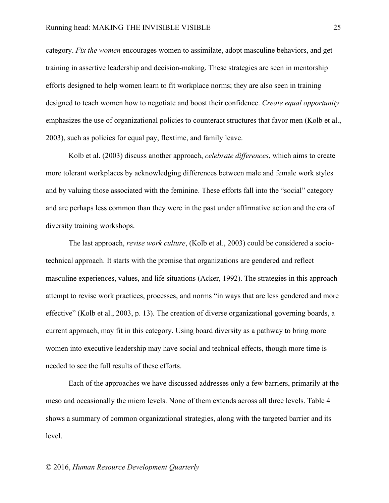category. *Fix the women* encourages women to assimilate, adopt masculine behaviors, and get training in assertive leadership and decision-making. These strategies are seen in mentorship efforts designed to help women learn to fit workplace norms; they are also seen in training designed to teach women how to negotiate and boost their confidence. *Create equal opportunity* emphasizes the use of organizational policies to counteract structures that favor men [\(Kolb et al.,](#page-34-10)  [2003\)](#page-34-10), such as policies for equal pay, flextime, and family leave.

[Kolb et al. \(2003\)](#page-34-10) discuss another approach, *celebrate differences*, which aims to create more tolerant workplaces by acknowledging differences between male and female work styles and by valuing those associated with the feminine. These efforts fall into the "social" category and are perhaps less common than they were in the past under affirmative action and the era of diversity training workshops.

The last approach, *revise work culture*, [\(Kolb et al., 2003\)](#page-34-10) could be considered a sociotechnical approach. It starts with the premise that organizations are gendered and reflect masculine experiences, values, and life situations [\(Acker, 1992\)](#page-31-3). The strategies in this approach attempt to revise work practices, processes, and norms "in ways that are less gendered and more effective" [\(Kolb et al., 2003, p. 13\)](#page-34-10). The creation of diverse organizational governing boards, a current approach, may fit in this category. Using board diversity as a pathway to bring more women into executive leadership may have social and technical effects, though more time is needed to see the full results of these efforts.

Each of the approaches we have discussed addresses only a few barriers, primarily at the meso and occasionally the micro levels. None of them extends across all three levels. Table 4 shows a summary of common organizational strategies, along with the targeted barrier and its level.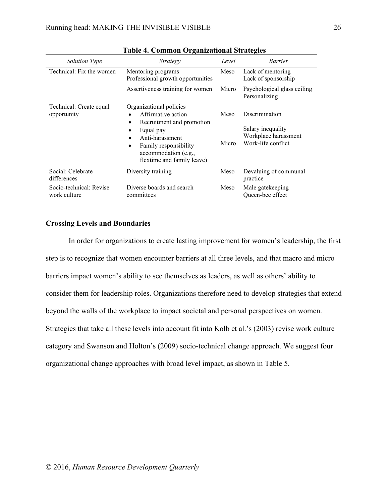| Solution Type                           | Strategy                                                                                                                                                                                                                 | Level         | <i>Barrier</i>                                                                    |
|-----------------------------------------|--------------------------------------------------------------------------------------------------------------------------------------------------------------------------------------------------------------------------|---------------|-----------------------------------------------------------------------------------|
| Technical: Fix the women                | Mentoring programs<br>Professional growth opportunities                                                                                                                                                                  | Meso          | Lack of mentoring<br>Lack of sponsorship                                          |
|                                         | Assertiveness training for women                                                                                                                                                                                         | Micro         | Psychological glass ceiling<br>Personalizing                                      |
| Technical: Create equal<br>opportunity  | Organizational policies<br>Affirmative action<br>Recruitment and promotion<br>٠<br>Equal pay<br>Anti-harassment<br>$\bullet$<br>Family responsibility<br>$\bullet$<br>accommodation (e.g.,<br>flextime and family leave) | Meso<br>Micro | Discrimination<br>Salary inequality<br>Workplace harassment<br>Work-life conflict |
| Social: Celebrate<br>differences        | Diversity training                                                                                                                                                                                                       | Meso          | Devaluing of communal<br>practice                                                 |
| Socio-technical: Revise<br>work culture | Diverse boards and search<br>committees                                                                                                                                                                                  | Meso          | Male gatekeeping<br>Queen-bee effect                                              |

#### **Table 4. Common Organizational Strategies**

#### **Crossing Levels and Boundaries**

In order for organizations to create lasting improvement for women's leadership, the first step is to recognize that women encounter barriers at all three levels, and that macro and micro barriers impact women's ability to see themselves as leaders, as well as others' ability to consider them for leadership roles. Organizations therefore need to develop strategies that extend beyond the walls of the workplace to impact societal and personal perspectives on women. Strategies that take all these levels into account fit into Kolb et al.'s (2003) revise work culture category and Swanson and Holton's [\(2009\)](#page-35-11) socio-technical change approach. We suggest four organizational change approaches with broad level impact, as shown in Table 5.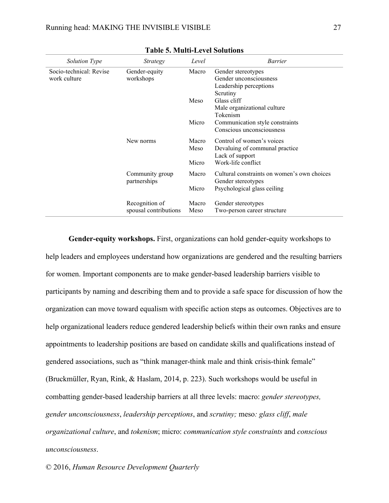| <b>Solution Type</b>    | Strategy              | Level | <i>Barrier</i>                                    |
|-------------------------|-----------------------|-------|---------------------------------------------------|
| Socio-technical: Revise | Gender-equity         | Macro | Gender stereotypes                                |
| work culture            | workshops             |       | Gender unconsciousness                            |
|                         |                       |       | Leadership perceptions                            |
|                         |                       |       | Scrutiny                                          |
|                         |                       | Meso  | Glass cliff                                       |
|                         |                       |       | Male organizational culture                       |
|                         |                       |       | Tokenism                                          |
|                         |                       | Micro | Communication style constraints                   |
|                         |                       |       | Conscious unconsciousness                         |
|                         | New norms             | Macro | Control of women's voices                         |
|                         |                       | Meso  | Devaluing of communal practice                    |
|                         |                       |       | Lack of support                                   |
|                         |                       | Micro | Work-life conflict                                |
|                         | Community group       | Macro | Cultural constraints on women's own choices       |
|                         | partnerships          | Micro | Gender stereotypes<br>Psychological glass ceiling |
|                         |                       |       |                                                   |
|                         | Recognition of        | Macro | Gender stereotypes                                |
|                         | spousal contributions | Meso  | Two-person career structure                       |

#### **Table 5. Multi-Level Solutions**

**Gender-equity workshops.** First, organizations can hold gender-equity workshops to help leaders and employees understand how organizations are gendered and the resulting barriers for women. Important components are to make gender-based leadership barriers visible to participants by naming and describing them and to provide a safe space for discussion of how the organization can move toward equalism with specific action steps as outcomes. Objectives are to help organizational leaders reduce gendered leadership beliefs within their own ranks and ensure appointments to leadership positions are based on candidate skills and qualifications instead of gendered associations, such as "think manager-think male and think crisis-think female" [\(Bruckmüller, Ryan, Rink, & Haslam, 2014, p. 223\)](#page-32-11). Such workshops would be useful in combatting gender-based leadership barriers at all three levels: macro: *gender stereotypes, gender unconsciousness*, *leadership perceptions*, and *scrutiny;* meso*: glass cliff*, *male organizational culture*, and *tokenism*; micro: *communication style constraints* and *conscious unconsciousness*.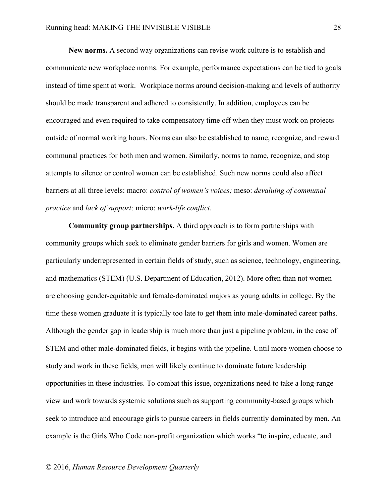**New norms.** A second way organizations can revise work culture is to establish and communicate new workplace norms. For example, performance expectations can be tied to goals instead of time spent at work. Workplace norms around decision-making and levels of authority should be made transparent and adhered to consistently. In addition, employees can be encouraged and even required to take compensatory time off when they must work on projects outside of normal working hours. Norms can also be established to name, recognize, and reward communal practices for both men and women. Similarly, norms to name, recognize, and stop attempts to silence or control women can be established. Such new norms could also affect barriers at all three levels: macro: *control of women's voices;* meso: *devaluing of communal practice* and *lack of support;* micro: *work-life conflict.*

**Community group partnerships.** A third approach is to form partnerships with community groups which seek to eliminate gender barriers for girls and women. Women are particularly underrepresented in certain fields of study, such as science, technology, engineering, and mathematics (STEM) [\(U.S. Department of Education, 2012\)](#page-35-1). More often than not women are choosing gender-equitable and female-dominated majors as young adults in college. By the time these women graduate it is typically too late to get them into male-dominated career paths. Although the gender gap in leadership is much more than just a pipeline problem, in the case of STEM and other male-dominated fields, it begins with the pipeline. Until more women choose to study and work in these fields, men will likely continue to dominate future leadership opportunities in these industries. To combat this issue, organizations need to take a long-range view and work towards systemic solutions such as supporting community-based groups which seek to introduce and encourage girls to pursue careers in fields currently dominated by men. An example is the Girls Who Code non-profit organization which works "to inspire, educate, and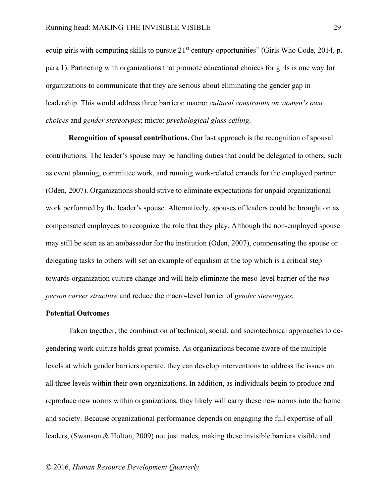equip girls with computing skills to pursue 21<sup>st</sup> century opportunities" (Girls Who Code, 2014, p. [para 1\)](#page-33-13). Partnering with organizations that promote educational choices for girls is one way for organizations to communicate that they are serious about eliminating the gender gap in leadership. This would address three barriers: macro: *cultural constraints on women's own choices* and *gender stereotypes*; micro: *psychological glass ceiling*.

**Recognition of spousal contributions.** Our last approach is the recognition of spousal contributions. The leader's spouse may be handling duties that could be delegated to others, such as event planning, committee work, and running work-related errands for the employed partner [\(Oden, 2007\)](#page-34-12). Organizations should strive to eliminate expectations for unpaid organizational work performed by the leader's spouse. Alternatively, spouses of leaders could be brought on as compensated employees to recognize the role that they play. Although the non-employed spouse may still be seen as an ambassador for the institution [\(Oden, 2007\)](#page-34-12), compensating the spouse or delegating tasks to others will set an example of equalism at the top which is a critical step towards organization culture change and will help eliminate the meso-level barrier of the *twoperson career structure* and reduce the macro-level barrier of *gender stereotypes.*

#### **Potential Outcomes**

Taken together, the combination of technical, social, and sociotechnical approaches to degendering work culture holds great promise. As organizations become aware of the multiple levels at which gender barriers operate, they can develop interventions to address the issues on all three levels within their own organizations. In addition, as individuals begin to produce and reproduce new norms within organizations, they likely will carry these new norms into the home and society. Because organizational performance depends on engaging the full expertise of all leaders, [\(Swanson & Holton, 2009\)](#page-35-11) not just males, making these invisible barriers visible and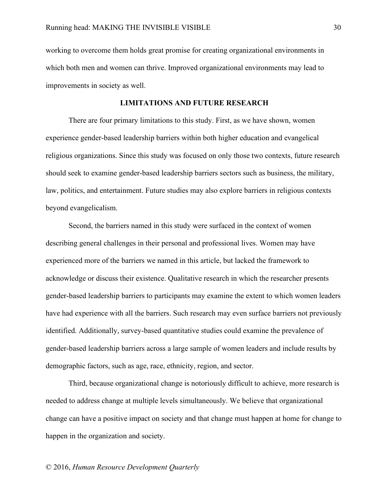working to overcome them holds great promise for creating organizational environments in which both men and women can thrive. Improved organizational environments may lead to improvements in society as well.

#### **LIMITATIONS AND FUTURE RESEARCH**

There are four primary limitations to this study. First, as we have shown, women experience gender-based leadership barriers within both higher education and evangelical religious organizations. Since this study was focused on only those two contexts, future research should seek to examine gender-based leadership barriers sectors such as business, the military, law, politics, and entertainment. Future studies may also explore barriers in religious contexts beyond evangelicalism.

Second, the barriers named in this study were surfaced in the context of women describing general challenges in their personal and professional lives. Women may have experienced more of the barriers we named in this article, but lacked the framework to acknowledge or discuss their existence. Qualitative research in which the researcher presents gender-based leadership barriers to participants may examine the extent to which women leaders have had experience with all the barriers. Such research may even surface barriers not previously identified. Additionally, survey-based quantitative studies could examine the prevalence of gender-based leadership barriers across a large sample of women leaders and include results by demographic factors, such as age, race, ethnicity, region, and sector.

Third, because organizational change is notoriously difficult to achieve, more research is needed to address change at multiple levels simultaneously. We believe that organizational change can have a positive impact on society and that change must happen at home for change to happen in the organization and society.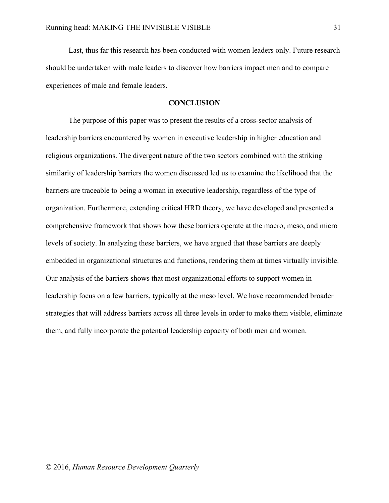Last, thus far this research has been conducted with women leaders only. Future research should be undertaken with male leaders to discover how barriers impact men and to compare experiences of male and female leaders.

# **CONCLUSION**

The purpose of this paper was to present the results of a cross-sector analysis of leadership barriers encountered by women in executive leadership in higher education and religious organizations. The divergent nature of the two sectors combined with the striking similarity of leadership barriers the women discussed led us to examine the likelihood that the barriers are traceable to being a woman in executive leadership, regardless of the type of organization. Furthermore, extending critical HRD theory, we have developed and presented a comprehensive framework that shows how these barriers operate at the macro, meso, and micro levels of society. In analyzing these barriers, we have argued that these barriers are deeply embedded in organizational structures and functions, rendering them at times virtually invisible. Our analysis of the barriers shows that most organizational efforts to support women in leadership focus on a few barriers, typically at the meso level. We have recommended broader strategies that will address barriers across all three levels in order to make them visible, eliminate them, and fully incorporate the potential leadership capacity of both men and women.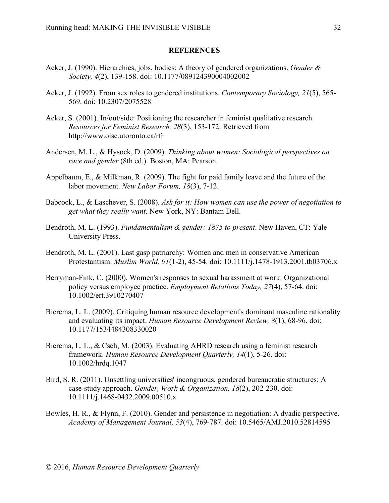#### **REFERENCES**

- <span id="page-31-1"></span>Acker, J. (1990). Hierarchies, jobs, bodies: A theory of gendered organizations. *Gender & Society, 4*(2), 139-158. doi: 10.1177/089124390004002002
- <span id="page-31-3"></span>Acker, J. (1992). From sex roles to gendered institutions. *Contemporary Sociology, 21*(5), 565- 569. doi: 10.2307/2075528
- <span id="page-31-9"></span>Acker, S. (2001). In/out/side: Positioning the researcher in feminist qualitative research. *Resources for Feminist Research, 28*(3), 153-172. Retrieved from http://www.oise.utoronto.ca/rfr
- <span id="page-31-2"></span>Andersen, M. L., & Hysock, D. (2009). *Thinking about women: Sociological perspectives on race and gender* (8th ed.). Boston, MA: Pearson.
- <span id="page-31-11"></span>Appelbaum, E., & Milkman, R. (2009). The fight for paid family leave and the future of the labor movement. *New Labor Forum, 18*(3), 7-12.
- <span id="page-31-5"></span>Babcock, L., & Laschever, S. (2008). *Ask for it: How women can use the power of negotiation to get what they really want*. New York, NY: Bantam Dell.
- <span id="page-31-10"></span>Bendroth, M. L. (1993). *Fundamentalism & gender: 1875 to present*. New Haven, CT: Yale University Press.
- <span id="page-31-8"></span>Bendroth, M. L. (2001). Last gasp patriarchy: Women and men in conservative American Protestantism. *Muslim World, 91*(1-2), 45-54. doi: 10.1111/j.1478-1913.2001.tb03706.x
- <span id="page-31-12"></span>Berryman-Fink, C. (2000). Women's responses to sexual harassment at work: Organizational policy versus employee practice. *Employment Relations Today, 27*(4), 57-64. doi: 10.1002/ert.3910270407
- <span id="page-31-0"></span>Bierema, L. L. (2009). Critiquing human resource development's dominant masculine rationality and evaluating its impact. *Human Resource Development Review, 8*(1), 68-96. doi: 10.1177/1534484308330020
- <span id="page-31-7"></span>Bierema, L. L., & Cseh, M. (2003). Evaluating AHRD research using a feminist research framework. *Human Resource Development Quarterly, 14*(1), 5-26. doi: 10.1002/hrdq.1047
- <span id="page-31-4"></span>Bird, S. R. (2011). Unsettling universities' incongruous, gendered bureaucratic structures: A case-study approach. *Gender, Work & Organization, 18*(2), 202-230. doi: 10.1111/j.1468-0432.2009.00510.x
- <span id="page-31-6"></span>Bowles, H. R., & Flynn, F. (2010). Gender and persistence in negotiation: A dyadic perspective. *Academy of Management Journal, 53*(4), 769-787. doi: 10.5465/AMJ.2010.52814595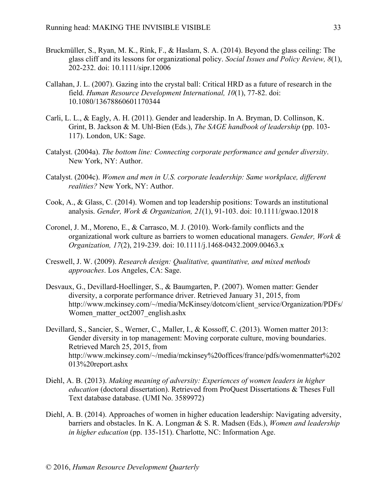- <span id="page-32-11"></span>Bruckmüller, S., Ryan, M. K., Rink, F., & Haslam, S. A. (2014). Beyond the glass ceiling: The glass cliff and its lessons for organizational policy. *Social Issues and Policy Review, 8*(1), 202-232. doi: 10.1111/sipr.12006
- <span id="page-32-0"></span>Callahan, J. L. (2007). Gazing into the crystal ball: Critical HRD as a future of research in the field. *Human Resource Development International, 10*(1), 77-82. doi: 10.1080/13678860601170344
- <span id="page-32-1"></span>Carli, L. L., & Eagly, A. H. (2011). Gender and leadership. In A. Bryman, D. Collinson, K. Grint, B. Jackson & M. Uhl-Bien (Eds.), *The SAGE handbook of leadership* (pp. 103- 117). London, UK: Sage.
- <span id="page-32-8"></span>Catalyst. (2004a). *The bottom line: Connecting corporate performance and gender diversity*. New York, NY: Author.
- <span id="page-32-2"></span>Catalyst. (2004c). *Women and men in U.S. corporate leadership: Same workplace, different realities?* New York, NY: Author.
- <span id="page-32-10"></span>Cook, A., & Glass, C. (2014). Women and top leadership positions: Towards an institutional analysis. *Gender, Work & Organization, 21*(1), 91-103. doi: 10.1111/gwao.12018
- <span id="page-32-4"></span>Coronel, J. M., Moreno, E., & Carrasco, M. J. (2010). Work-family conflicts and the organizational work culture as barriers to women educational managers. *Gender, Work & Organization, 17*(2), 219-239. doi: 10.1111/j.1468-0432.2009.00463.x
- <span id="page-32-6"></span>Creswell, J. W. (2009). *Research design: Qualitative, quantitative, and mixed methods approaches*. Los Angeles, CA: Sage.
- <span id="page-32-9"></span>Desvaux, G., Devillard-Hoellinger, S., & Baumgarten, P. (2007). Women matter: Gender diversity, a corporate performance driver. Retrieved January 31, 2015, from http://www.mckinsey.com/~/media/McKinsey/dotcom/client\_service/Organization/PDFs/ Women matter oct2007 english.ashx
- <span id="page-32-3"></span>Devillard, S., Sancier, S., Werner, C., Maller, I., & Kossoff, C. (2013). Women matter 2013: Gender diversity in top management: Moving corporate culture, moving boundaries. Retrieved March 25, 2015, from http://www.mckinsey.com/~/media/mckinsey%20offices/france/pdfs/womenmatter%202 013%20report.ashx
- <span id="page-32-5"></span>Diehl, A. B. (2013). *Making meaning of adversity: Experiences of women leaders in higher education* (doctoral dissertation). Retrieved from ProQuest Dissertations & Theses Full Text database database. (UMI No. 3589972)
- <span id="page-32-7"></span>Diehl, A. B. (2014). Approaches of women in higher education leadership: Navigating adversity, barriers and obstacles. In K. A. Longman & S. R. Madsen (Eds.), *Women and leadership in higher education* (pp. 135-151). Charlotte, NC: Information Age.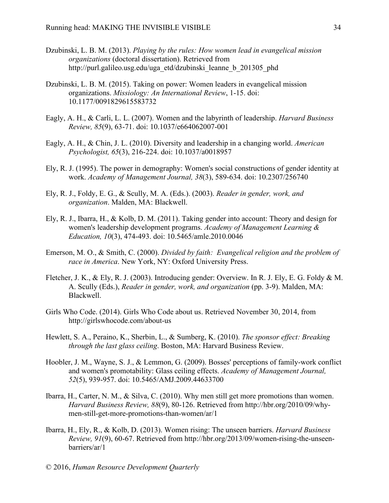- <span id="page-33-7"></span>Dzubinski, L. B. M. (2013). *Playing by the rules: How women lead in evangelical mission organizations* (doctoral dissertation). Retrieved from http://purl.galileo.usg.edu/uga\_etd/dzubinski\_leanne\_b\_201305\_phd
- <span id="page-33-11"></span>Dzubinski, L. B. M. (2015). Taking on power: Women leaders in evangelical mission organizations. *Missiology: An International Review*, 1-15. doi: 10.1177/0091829615583732
- <span id="page-33-6"></span>Eagly, A. H., & Carli, L. L. (2007). Women and the labyrinth of leadership. *Harvard Business Review, 85*(9), 63-71. doi: 10.1037/e664062007-001
- <span id="page-33-3"></span>Eagly, A. H., & Chin, J. L. (2010). Diversity and leadership in a changing world. *American Psychologist, 65*(3), 216-224. doi: 10.1037/a0018957
- <span id="page-33-10"></span>Ely, R. J. (1995). The power in demography: Women's social constructions of gender identity at work. *Academy of Management Journal, 38*(3), 589-634. doi: 10.2307/256740
- <span id="page-33-12"></span>Ely, R. J., Foldy, E. G., & Scully, M. A. (Eds.). (2003). *Reader in gender, work, and organization*. Malden, MA: Blackwell.
- <span id="page-33-0"></span>Ely, R. J., Ibarra, H., & Kolb, D. M. (2011). Taking gender into account: Theory and design for women's leadership development programs. *Academy of Management Learning & Education, 10*(3), 474-493. doi: 10.5465/amle.2010.0046
- <span id="page-33-8"></span>Emerson, M. O., & Smith, C. (2000). *Divided by faith: Evangelical religion and the problem of race in America*. New York, NY: Oxford University Press.
- <span id="page-33-9"></span>Fletcher, J. K., & Ely, R. J. (2003). Introducing gender: Overview. In R. J. Ely, E. G. Foldy & M. A. Scully (Eds.), *Reader in gender, work, and organization* (pp. 3-9). Malden, MA: Blackwell.
- <span id="page-33-13"></span>Girls Who Code. (2014). Girls Who Code about us. Retrieved November 30, 2014, from http://girlswhocode.com/about-us
- <span id="page-33-4"></span>Hewlett, S. A., Peraino, K., Sherbin, L., & Sumberg, K. (2010). *The sponsor effect: Breaking through the last glass ceiling*. Boston, MA: Harvard Business Review.
- <span id="page-33-2"></span>Hoobler, J. M., Wayne, S. J., & Lemmon, G. (2009). Bosses' perceptions of family-work conflict and women's promotability: Glass ceiling effects. *Academy of Management Journal, 52*(5), 939-957. doi: 10.5465/AMJ.2009.44633700
- <span id="page-33-5"></span>Ibarra, H., Carter, N. M., & Silva, C. (2010). Why men still get more promotions than women. *Harvard Business Review, 88*(9), 80-126. Retrieved from http://hbr.org/2010/09/whymen-still-get-more-promotions-than-women/ar/1
- <span id="page-33-1"></span>Ibarra, H., Ely, R., & Kolb, D. (2013). Women rising: The unseen barriers. *Harvard Business Review, 91*(9), 60-67. Retrieved from http://hbr.org/2013/09/women-rising-the-unseenbarriers/ar/1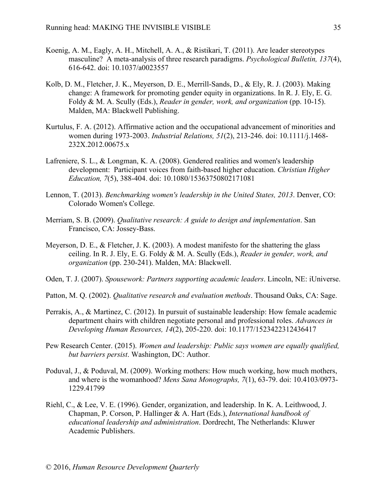- <span id="page-34-5"></span>Koenig, A. M., Eagly, A. H., Mitchell, A. A., & Ristikari, T. (2011). Are leader stereotypes masculine? A meta-analysis of three research paradigms. *Psychological Bulletin, 137*(4), 616-642. doi: 10.1037/a0023557
- <span id="page-34-10"></span>Kolb, D. M., Fletcher, J. K., Meyerson, D. E., Merrill-Sands, D., & Ely, R. J. (2003). Making change: A framework for promoting gender equity in organizations. In R. J. Ely, E. G. Foldy & M. A. Scully (Eds.), *Reader in gender, work, and organization* (pp. 10-15). Malden, MA: Blackwell Publishing.
- <span id="page-34-11"></span>Kurtulus, F. A. (2012). Affirmative action and the occupational advancement of minorities and women during 1973-2003. *Industrial Relations, 51*(2), 213-246. doi: 10.1111/j.1468- 232X.2012.00675.x
- <span id="page-34-6"></span>Lafreniere, S. L., & Longman, K. A. (2008). Gendered realities and women's leadership development: Participant voices from faith-based higher education. *Christian Higher Education, 7*(5), 388-404. doi: 10.1080/15363750802171081
- <span id="page-34-0"></span>Lennon, T. (2013). *Benchmarking women's leadership in the United States, 2013*. Denver, CO: Colorado Women's College.
- <span id="page-34-9"></span>Merriam, S. B. (2009). *Qualitative research: A guide to design and implementation*. San Francisco, CA: Jossey-Bass.
- <span id="page-34-1"></span>Meyerson, D. E., & Fletcher, J. K. (2003). A modest manifesto for the shattering the glass ceiling. In R. J. Ely, E. G. Foldy & M. A. Scully (Eds.), *Reader in gender, work, and organization* (pp. 230-241). Malden, MA: Blackwell.
- <span id="page-34-12"></span>Oden, T. J. (2007). *Spousework: Partners supporting academic leaders*. Lincoln, NE: iUniverse.
- <span id="page-34-8"></span>Patton, M. Q. (2002). *Qualitative research and evaluation methods*. Thousand Oaks, CA: Sage.
- <span id="page-34-3"></span>Perrakis, A., & Martinez, C. (2012). In pursuit of sustainable leadership: How female academic department chairs with children negotiate personal and professional roles. *Advances in Developing Human Resources, 14*(2), 205-220. doi: 10.1177/1523422312436417
- <span id="page-34-7"></span>Pew Research Center. (2015). *Women and leadership: Public says women are equally qualified, but barriers persist*. Washington, DC: Author.
- <span id="page-34-4"></span>Poduval, J., & Poduval, M. (2009). Working mothers: How much working, how much mothers, and where is the womanhood? *Mens Sana Monographs, 7*(1), 63-79. doi: 10.4103/0973- 1229.41799
- <span id="page-34-2"></span>Riehl, C., & Lee, V. E. (1996). Gender, organization, and leadership. In K. A. Leithwood, J. Chapman, P. Corson, P. Hallinger & A. Hart (Eds.), *International handbook of educational leadership and administration*. Dordrecht, The Netherlands: Kluwer Academic Publishers.